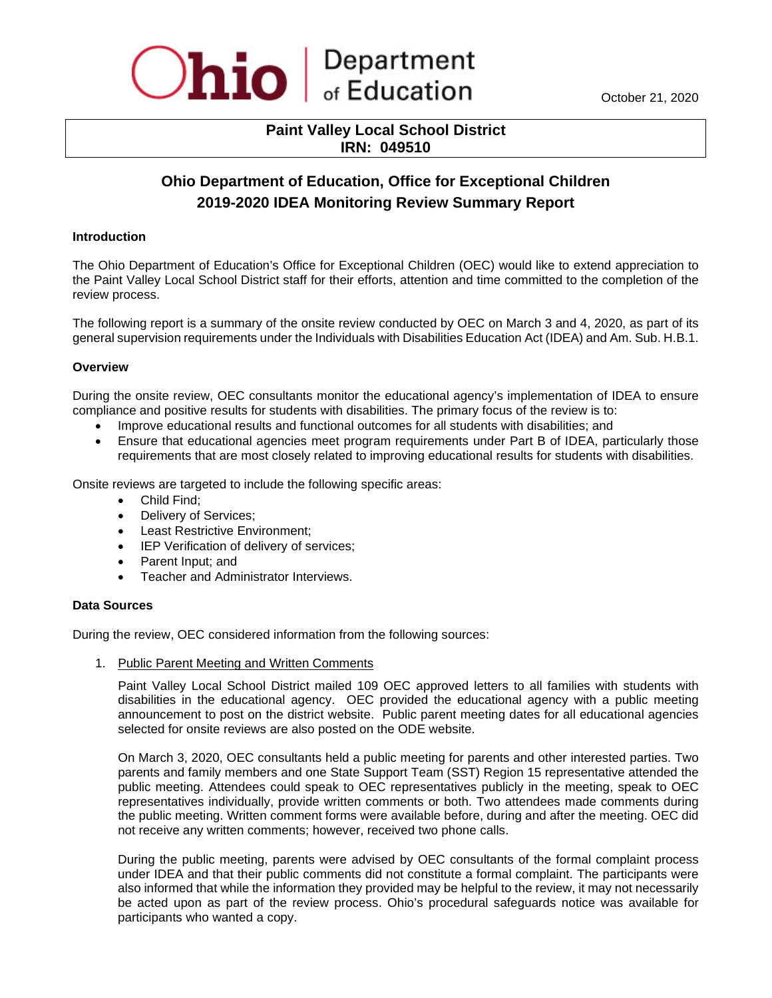

# **Paint Valley Local School District IRN: 049510**

# **Ohio Department of Education, Office for Exceptional Children 2019-2020 IDEA Monitoring Review Summary Report**

### **Introduction**

The Ohio Department of Education's Office for Exceptional Children (OEC) would like to extend appreciation to the Paint Valley Local School District staff for their efforts, attention and time committed to the completion of the review process.

The following report is a summary of the onsite review conducted by OEC on March 3 and 4, 2020, as part of its general supervision requirements under the Individuals with Disabilities Education Act (IDEA) and Am. Sub. H.B.1.

#### **Overview**

During the onsite review, OEC consultants monitor the educational agency's implementation of IDEA to ensure compliance and positive results for students with disabilities. The primary focus of the review is to:

- Improve educational results and functional outcomes for all students with disabilities; and
- Ensure that educational agencies meet program requirements under Part B of IDEA, particularly those requirements that are most closely related to improving educational results for students with disabilities.

Onsite reviews are targeted to include the following specific areas:

- Child Find;
- Delivery of Services;
- Least Restrictive Environment;
- IEP Verification of delivery of services;
- Parent Input; and
- Teacher and Administrator Interviews.

#### **Data Sources**

During the review, OEC considered information from the following sources:

1. Public Parent Meeting and Written Comments

Paint Valley Local School District mailed 109 OEC approved letters to all families with students with disabilities in the educational agency. OEC provided the educational agency with a public meeting announcement to post on the district website. Public parent meeting dates for all educational agencies selected for onsite reviews are also posted on the ODE website.

On March 3, 2020, OEC consultants held a public meeting for parents and other interested parties. Two parents and family members and one State Support Team (SST) Region 15 representative attended the public meeting. Attendees could speak to OEC representatives publicly in the meeting, speak to OEC representatives individually, provide written comments or both. Two attendees made comments during the public meeting. Written comment forms were available before, during and after the meeting. OEC did not receive any written comments; however, received two phone calls.

During the public meeting, parents were advised by OEC consultants of the formal complaint process under IDEA and that their public comments did not constitute a formal complaint. The participants were also informed that while the information they provided may be helpful to the review, it may not necessarily be acted upon as part of the review process. Ohio's procedural safeguards notice was available for participants who wanted a copy.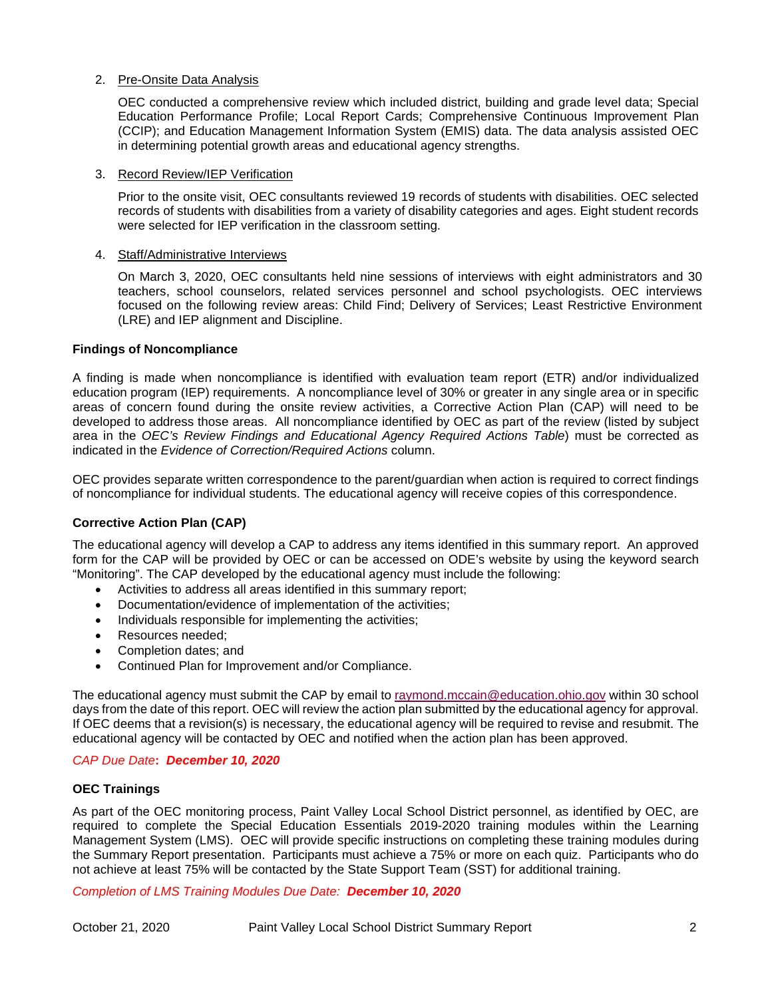## 2. Pre-Onsite Data Analysis

OEC conducted a comprehensive review which included district, building and grade level data; Special Education Performance Profile; Local Report Cards; Comprehensive Continuous Improvement Plan (CCIP); and Education Management Information System (EMIS) data. The data analysis assisted OEC in determining potential growth areas and educational agency strengths.

#### 3. Record Review/IEP Verification

Prior to the onsite visit, OEC consultants reviewed 19 records of students with disabilities. OEC selected records of students with disabilities from a variety of disability categories and ages. Eight student records were selected for IEP verification in the classroom setting.

#### 4. Staff/Administrative Interviews

On March 3, 2020, OEC consultants held nine sessions of interviews with eight administrators and 30 teachers, school counselors, related services personnel and school psychologists. OEC interviews focused on the following review areas: Child Find; Delivery of Services; Least Restrictive Environment (LRE) and IEP alignment and Discipline.

#### **Findings of Noncompliance**

A finding is made when noncompliance is identified with evaluation team report (ETR) and/or individualized education program (IEP) requirements. A noncompliance level of 30% or greater in any single area or in specific areas of concern found during the onsite review activities, a Corrective Action Plan (CAP) will need to be developed to address those areas. All noncompliance identified by OEC as part of the review (listed by subject area in the *OEC's Review Findings and Educational Agency Required Actions Table*) must be corrected as indicated in the *Evidence of Correction/Required Actions* column.

OEC provides separate written correspondence to the parent/guardian when action is required to correct findings of noncompliance for individual students. The educational agency will receive copies of this correspondence.

#### **Corrective Action Plan (CAP)**

The educational agency will develop a CAP to address any items identified in this summary report. An approved form for the CAP will be provided by OEC or can be accessed on ODE's website by using the keyword search "Monitoring". The CAP developed by the educational agency must include the following:

- Activities to address all areas identified in this summary report;
- Documentation/evidence of implementation of the activities;
- Individuals responsible for implementing the activities;
- Resources needed:
- Completion dates; and
- Continued Plan for Improvement and/or Compliance.

The educational agency must submit the CAP by email to [raymond.mccain@education.ohio.gov](mailto:raymond.mccain@education.ohio.gov) within 30 school days from the date of this report. OEC will review the action plan submitted by the educational agency for approval. If OEC deems that a revision(s) is necessary, the educational agency will be required to revise and resubmit. The educational agency will be contacted by OEC and notified when the action plan has been approved.

#### *CAP Due Date***:** *December 10, 2020*

#### **OEC Trainings**

As part of the OEC monitoring process, Paint Valley Local School District personnel, as identified by OEC, are required to complete the Special Education Essentials 2019-2020 training modules within the Learning Management System (LMS). OEC will provide specific instructions on completing these training modules during the Summary Report presentation. Participants must achieve a 75% or more on each quiz. Participants who do not achieve at least 75% will be contacted by the State Support Team (SST) for additional training.

*Completion of LMS Training Modules Due Date: December 10, 2020*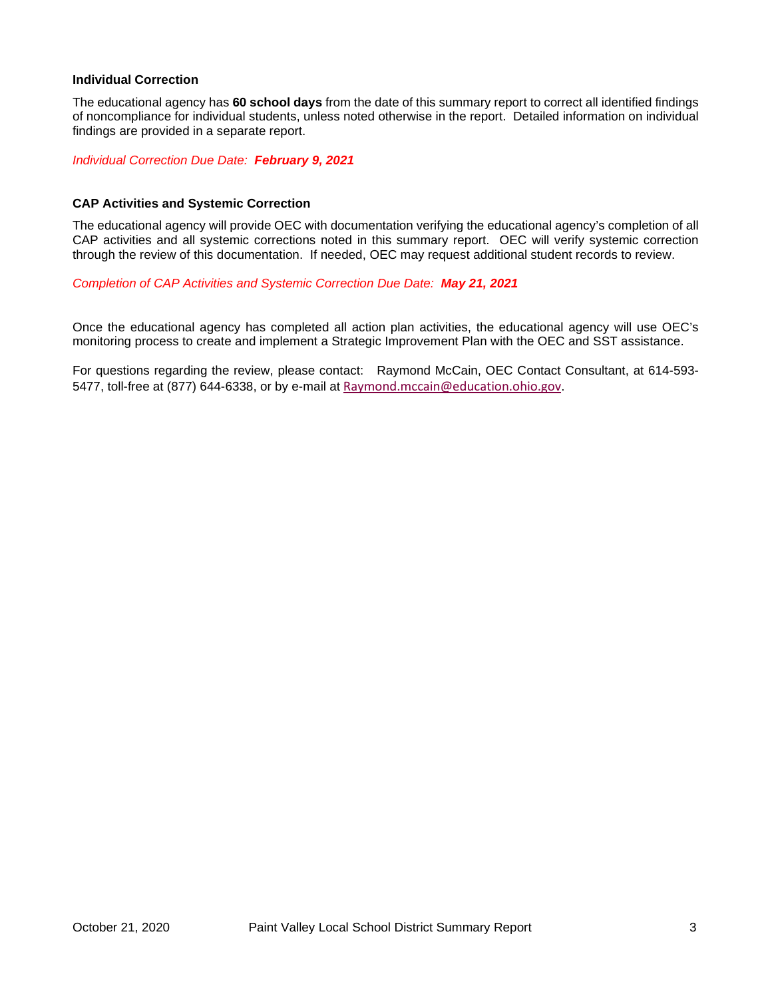### **Individual Correction**

The educational agency has **60 school days** from the date of this summary report to correct all identified findings of noncompliance for individual students, unless noted otherwise in the report. Detailed information on individual findings are provided in a separate report.

*Individual Correction Due Date: February 9, 2021*

#### **CAP Activities and Systemic Correction**

The educational agency will provide OEC with documentation verifying the educational agency's completion of all CAP activities and all systemic corrections noted in this summary report. OEC will verify systemic correction through the review of this documentation. If needed, OEC may request additional student records to review.

*Completion of CAP Activities and Systemic Correction Due Date: May 21, 2021*

Once the educational agency has completed all action plan activities, the educational agency will use OEC's monitoring process to create and implement a Strategic Improvement Plan with the OEC and SST assistance.

For questions regarding the review, please contact:Raymond McCain, OEC Contact Consultant, at 614-593- 5477, toll-free at (877) 644-6338, or by e-mail at [Raymond.mccain@education.ohio.gov](mailto:Raymond.mccain@education.ohio.gov).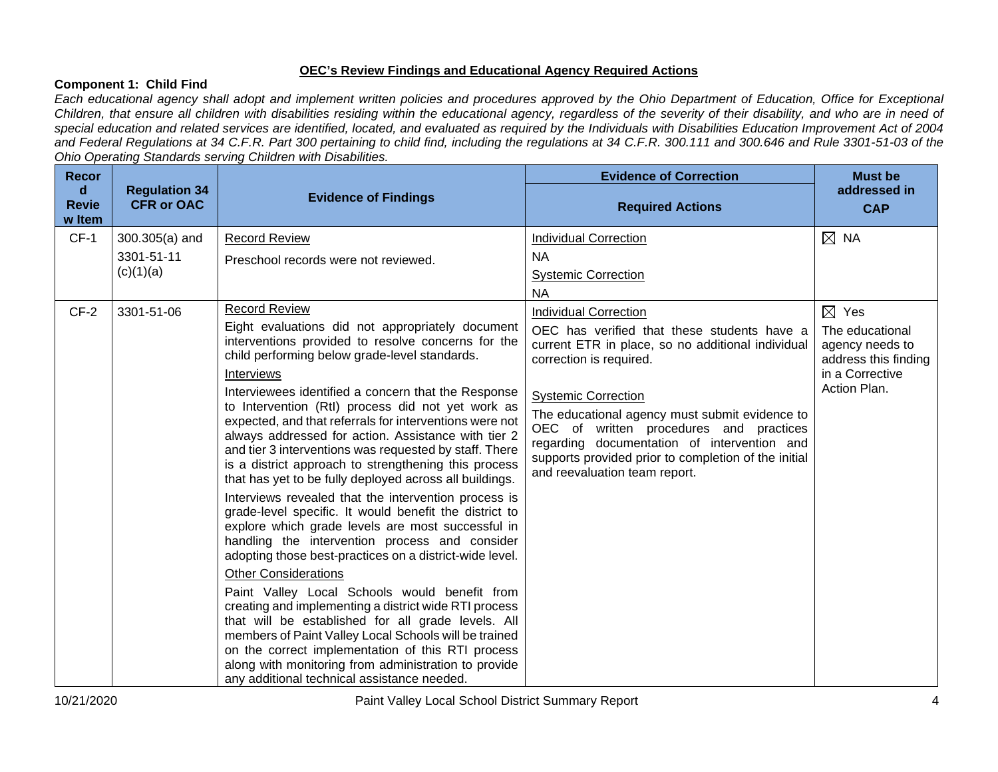# **OEC's Review Findings and Educational Agency Required Actions**

# **Component 1: Child Find**

*Each educational agency shall adopt and implement written policies and procedures approved by the Ohio Department of Education, Office for Exceptional Children, that ensure all children with disabilities residing within the educational agency, regardless of the severity of their disability, and who are in need of special education and related services are identified, located, and evaluated as required by the Individuals with Disabilities Education Improvement Act of 2004 and Federal Regulations at 34 C.F.R. Part 300 pertaining to child find, including the regulations at 34 C.F.R. 300.111 and 300.646 and Rule 3301-51-03 of the Ohio Operating Standards serving Children with Disabilities.* 

| <b>Recor</b>                |                                           | $\sum_{i=1}^{n} \sum_{i=1}^{n} \sum_{i=1}^{n} \sum_{i=1}^{n} \sum_{i=1}^{n} \sum_{i=1}^{n} \sum_{i=1}^{n} \sum_{i=1}^{n} \sum_{i=1}^{n} \sum_{i=1}^{n} \sum_{i=1}^{n} \sum_{i=1}^{n} \sum_{i=1}^{n} \sum_{i=1}^{n} \sum_{i=1}^{n} \sum_{i=1}^{n} \sum_{i=1}^{n} \sum_{i=1}^{n} \sum_{i=1}^{n} \sum_{i=1}^{n} \sum_{i=1}^{n} \sum_{i=1}^{n}$                                                                                                                                                                                                                                                                                                                                                                                                                                                                                                                                                                                                                                                                                                                                                                     | <b>Evidence of Correction</b>                                                                                                                                                                                                                                   | <b>Must be</b>                                                                |
|-----------------------------|-------------------------------------------|-----------------------------------------------------------------------------------------------------------------------------------------------------------------------------------------------------------------------------------------------------------------------------------------------------------------------------------------------------------------------------------------------------------------------------------------------------------------------------------------------------------------------------------------------------------------------------------------------------------------------------------------------------------------------------------------------------------------------------------------------------------------------------------------------------------------------------------------------------------------------------------------------------------------------------------------------------------------------------------------------------------------------------------------------------------------------------------------------------------------|-----------------------------------------------------------------------------------------------------------------------------------------------------------------------------------------------------------------------------------------------------------------|-------------------------------------------------------------------------------|
| d<br><b>Revie</b><br>w Item | <b>Regulation 34</b><br><b>CFR or OAC</b> | <b>Evidence of Findings</b>                                                                                                                                                                                                                                                                                                                                                                                                                                                                                                                                                                                                                                                                                                                                                                                                                                                                                                                                                                                                                                                                                     | <b>Required Actions</b>                                                                                                                                                                                                                                         | addressed in<br><b>CAP</b>                                                    |
| $CF-1$                      | 300.305(a) and                            | <b>Record Review</b>                                                                                                                                                                                                                                                                                                                                                                                                                                                                                                                                                                                                                                                                                                                                                                                                                                                                                                                                                                                                                                                                                            | <b>Individual Correction</b>                                                                                                                                                                                                                                    | $\boxtimes$ NA                                                                |
|                             | 3301-51-11                                | Preschool records were not reviewed.                                                                                                                                                                                                                                                                                                                                                                                                                                                                                                                                                                                                                                                                                                                                                                                                                                                                                                                                                                                                                                                                            | NA.                                                                                                                                                                                                                                                             |                                                                               |
|                             | (c)(1)(a)                                 |                                                                                                                                                                                                                                                                                                                                                                                                                                                                                                                                                                                                                                                                                                                                                                                                                                                                                                                                                                                                                                                                                                                 | <b>Systemic Correction</b>                                                                                                                                                                                                                                      |                                                                               |
|                             |                                           |                                                                                                                                                                                                                                                                                                                                                                                                                                                                                                                                                                                                                                                                                                                                                                                                                                                                                                                                                                                                                                                                                                                 | <b>NA</b>                                                                                                                                                                                                                                                       |                                                                               |
| $CF-2$                      | 3301-51-06                                | <b>Record Review</b>                                                                                                                                                                                                                                                                                                                                                                                                                                                                                                                                                                                                                                                                                                                                                                                                                                                                                                                                                                                                                                                                                            | <b>Individual Correction</b>                                                                                                                                                                                                                                    | $\boxtimes$ Yes                                                               |
|                             |                                           | Eight evaluations did not appropriately document<br>interventions provided to resolve concerns for the<br>child performing below grade-level standards.<br>Interviews                                                                                                                                                                                                                                                                                                                                                                                                                                                                                                                                                                                                                                                                                                                                                                                                                                                                                                                                           | OEC has verified that these students have a<br>current ETR in place, so no additional individual<br>correction is required.                                                                                                                                     | The educational<br>agency needs to<br>address this finding<br>in a Corrective |
|                             |                                           | Interviewees identified a concern that the Response<br>to Intervention (RtI) process did not yet work as<br>expected, and that referrals for interventions were not<br>always addressed for action. Assistance with tier 2<br>and tier 3 interventions was requested by staff. There<br>is a district approach to strengthening this process<br>that has yet to be fully deployed across all buildings.<br>Interviews revealed that the intervention process is<br>grade-level specific. It would benefit the district to<br>explore which grade levels are most successful in<br>handling the intervention process and consider<br>adopting those best-practices on a district-wide level.<br><b>Other Considerations</b><br>Paint Valley Local Schools would benefit from<br>creating and implementing a district wide RTI process<br>that will be established for all grade levels. All<br>members of Paint Valley Local Schools will be trained<br>on the correct implementation of this RTI process<br>along with monitoring from administration to provide<br>any additional technical assistance needed. | <b>Systemic Correction</b><br>The educational agency must submit evidence to<br>OEC of written procedures and practices<br>regarding documentation of intervention and<br>supports provided prior to completion of the initial<br>and reevaluation team report. | Action Plan.                                                                  |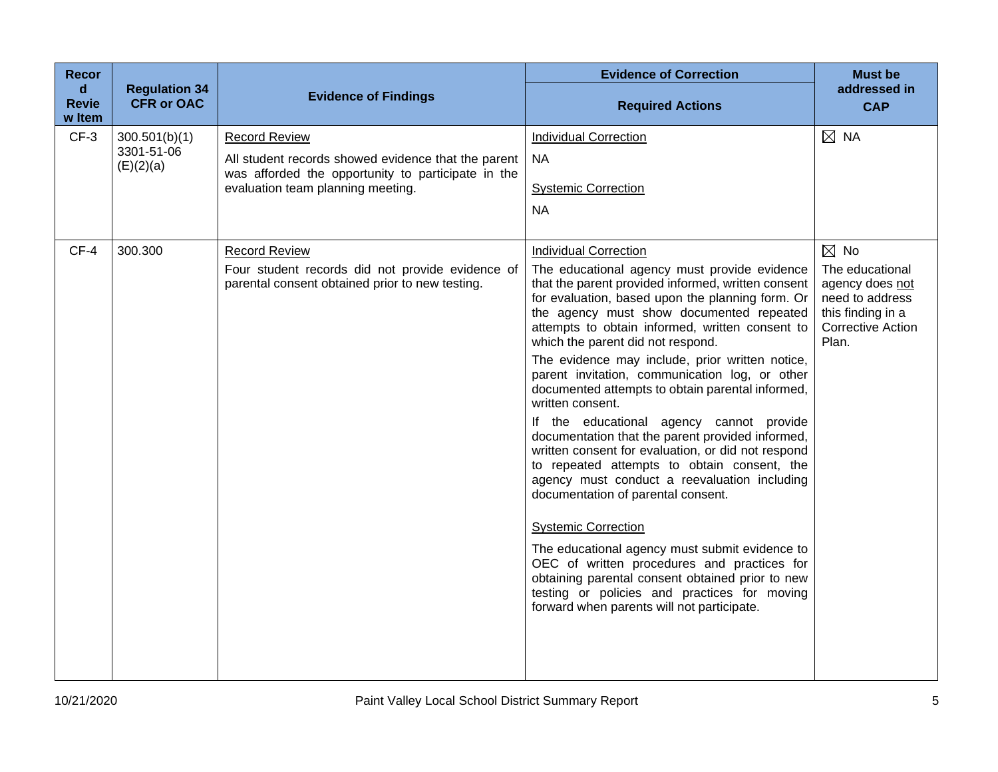| <b>Recor</b>                          |                                           |                                                                                                     | <b>Evidence of Correction</b>                                                                                                                                                                                                                                                              | <b>Must be</b>                                                                                                  |
|---------------------------------------|-------------------------------------------|-----------------------------------------------------------------------------------------------------|--------------------------------------------------------------------------------------------------------------------------------------------------------------------------------------------------------------------------------------------------------------------------------------------|-----------------------------------------------------------------------------------------------------------------|
| $\mathbf d$<br><b>Revie</b><br>w Item | <b>Regulation 34</b><br><b>CFR or OAC</b> | <b>Evidence of Findings</b>                                                                         | <b>Required Actions</b>                                                                                                                                                                                                                                                                    | addressed in<br><b>CAP</b>                                                                                      |
| $CF-3$                                | 300.501(b)(1)                             | <b>Record Review</b>                                                                                | <b>Individual Correction</b>                                                                                                                                                                                                                                                               | $\boxtimes$ NA                                                                                                  |
|                                       | 3301-51-06<br>(E)(2)(a)                   | All student records showed evidence that the parent                                                 | <b>NA</b>                                                                                                                                                                                                                                                                                  |                                                                                                                 |
|                                       |                                           | was afforded the opportunity to participate in the<br>evaluation team planning meeting.             | <b>Systemic Correction</b>                                                                                                                                                                                                                                                                 |                                                                                                                 |
|                                       |                                           |                                                                                                     | <b>NA</b>                                                                                                                                                                                                                                                                                  |                                                                                                                 |
|                                       |                                           |                                                                                                     |                                                                                                                                                                                                                                                                                            |                                                                                                                 |
| $CF-4$                                | 300.300                                   | <b>Record Review</b>                                                                                | <b>Individual Correction</b>                                                                                                                                                                                                                                                               | $\boxtimes$ No                                                                                                  |
|                                       |                                           | Four student records did not provide evidence of<br>parental consent obtained prior to new testing. | The educational agency must provide evidence<br>that the parent provided informed, written consent<br>for evaluation, based upon the planning form. Or<br>the agency must show documented repeated<br>attempts to obtain informed, written consent to<br>which the parent did not respond. | The educational<br>agency does not<br>need to address<br>this finding in a<br><b>Corrective Action</b><br>Plan. |
|                                       |                                           |                                                                                                     | The evidence may include, prior written notice,<br>parent invitation, communication log, or other<br>documented attempts to obtain parental informed,<br>written consent.                                                                                                                  |                                                                                                                 |
|                                       |                                           |                                                                                                     | If the educational agency cannot provide<br>documentation that the parent provided informed,<br>written consent for evaluation, or did not respond<br>to repeated attempts to obtain consent, the<br>agency must conduct a reevaluation including<br>documentation of parental consent.    |                                                                                                                 |
|                                       |                                           |                                                                                                     | <b>Systemic Correction</b>                                                                                                                                                                                                                                                                 |                                                                                                                 |
|                                       |                                           |                                                                                                     | The educational agency must submit evidence to<br>OEC of written procedures and practices for<br>obtaining parental consent obtained prior to new<br>testing or policies and practices for moving<br>forward when parents will not participate.                                            |                                                                                                                 |
|                                       |                                           |                                                                                                     |                                                                                                                                                                                                                                                                                            |                                                                                                                 |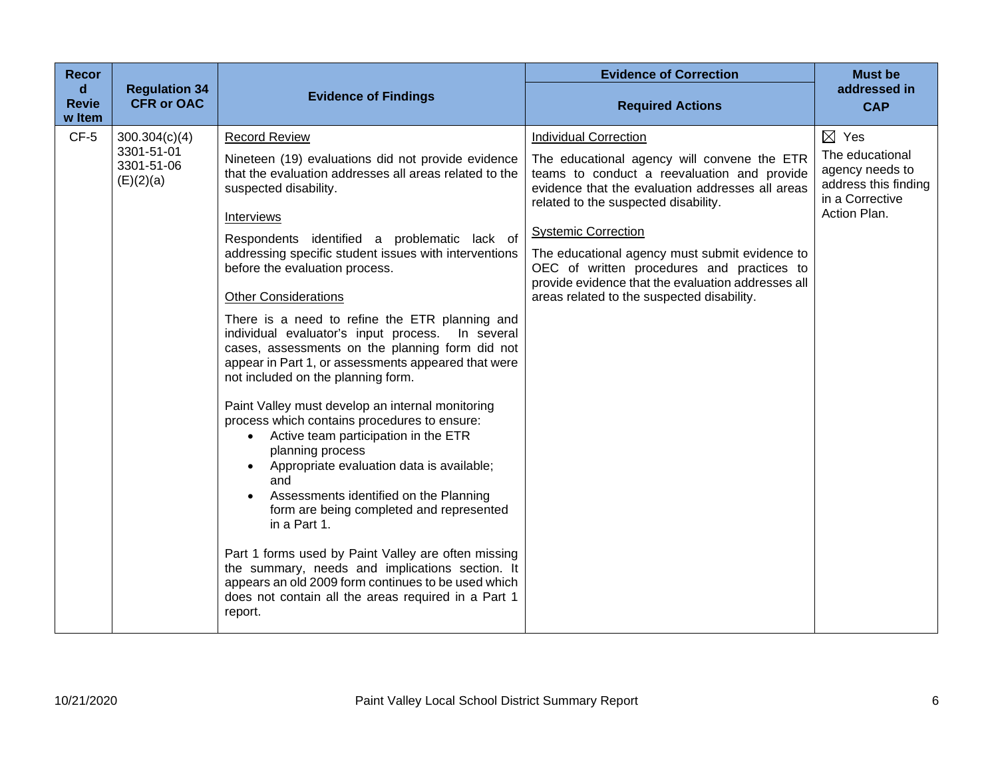| Recor<br>$\mathbf d$<br><b>Revie</b><br>w Item | <b>Regulation 34</b><br><b>CFR or OAC</b>              | <b>Evidence of Findings</b>                                                                                                                                                                                                                                                                                                                                                                                                                                                                                                                                                                                                                                                                                                                                                                                                                                                                                                                                                                                                                                                                                                                                                           | <b>Evidence of Correction</b><br><b>Required Actions</b>                                                                                                                                                                                                                                                                                                                                                                                                 | <b>Must be</b><br>addressed in<br><b>CAP</b>                                                                     |
|------------------------------------------------|--------------------------------------------------------|---------------------------------------------------------------------------------------------------------------------------------------------------------------------------------------------------------------------------------------------------------------------------------------------------------------------------------------------------------------------------------------------------------------------------------------------------------------------------------------------------------------------------------------------------------------------------------------------------------------------------------------------------------------------------------------------------------------------------------------------------------------------------------------------------------------------------------------------------------------------------------------------------------------------------------------------------------------------------------------------------------------------------------------------------------------------------------------------------------------------------------------------------------------------------------------|----------------------------------------------------------------------------------------------------------------------------------------------------------------------------------------------------------------------------------------------------------------------------------------------------------------------------------------------------------------------------------------------------------------------------------------------------------|------------------------------------------------------------------------------------------------------------------|
| $CF-5$                                         | 300.304(c)(4)<br>3301-51-01<br>3301-51-06<br>(E)(2)(a) | <b>Record Review</b><br>Nineteen (19) evaluations did not provide evidence<br>that the evaluation addresses all areas related to the<br>suspected disability.<br>Interviews<br>Respondents identified a problematic lack of<br>addressing specific student issues with interventions<br>before the evaluation process.<br><b>Other Considerations</b><br>There is a need to refine the ETR planning and<br>individual evaluator's input process. In several<br>cases, assessments on the planning form did not<br>appear in Part 1, or assessments appeared that were<br>not included on the planning form.<br>Paint Valley must develop an internal monitoring<br>process which contains procedures to ensure:<br>Active team participation in the ETR<br>$\bullet$<br>planning process<br>Appropriate evaluation data is available;<br>and<br>Assessments identified on the Planning<br>form are being completed and represented<br>in a Part 1.<br>Part 1 forms used by Paint Valley are often missing<br>the summary, needs and implications section. It<br>appears an old 2009 form continues to be used which<br>does not contain all the areas required in a Part 1<br>report. | <b>Individual Correction</b><br>The educational agency will convene the ETR<br>teams to conduct a reevaluation and provide<br>evidence that the evaluation addresses all areas<br>related to the suspected disability.<br><b>Systemic Correction</b><br>The educational agency must submit evidence to<br>OEC of written procedures and practices to<br>provide evidence that the evaluation addresses all<br>areas related to the suspected disability. | $\boxtimes$ Yes<br>The educational<br>agency needs to<br>address this finding<br>in a Corrective<br>Action Plan. |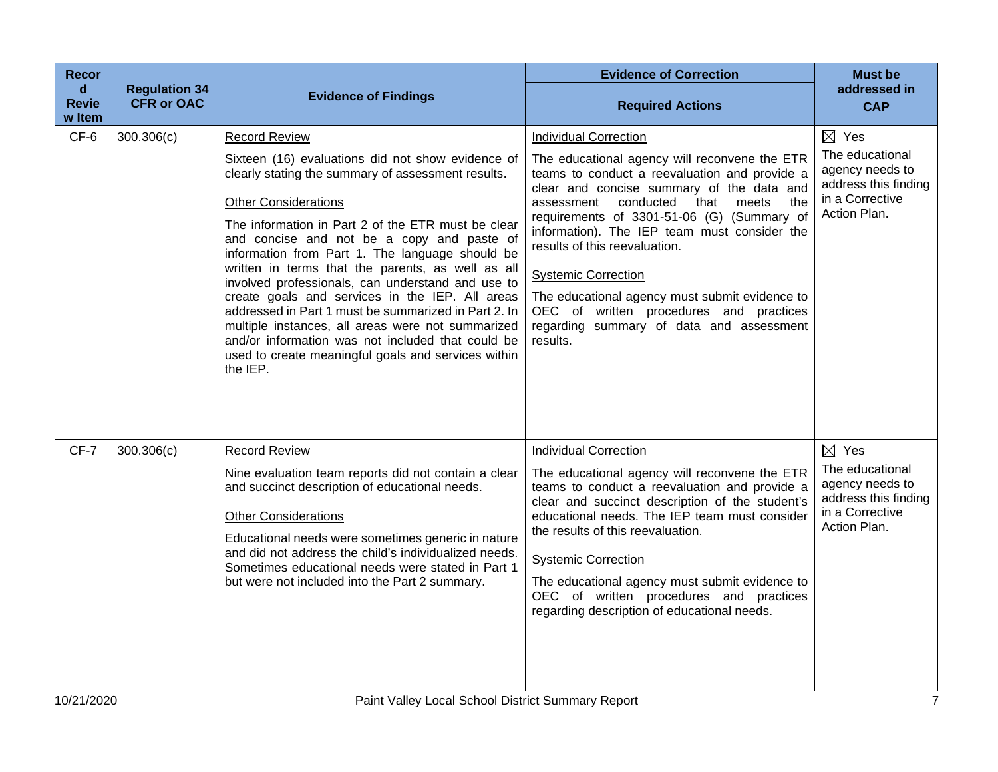| <b>Recor</b><br>d      | <b>Regulation 34</b> |                                                                                                                                                                                                                                                                                                                                                                                                                                                                                                                                                                                                                                                                                                                         | <b>Evidence of Correction</b>                                                                                                                                                                                                                                                                                                                                                                                                                                                                                                                    | <b>Must be</b><br>addressed in                                                                                   |
|------------------------|----------------------|-------------------------------------------------------------------------------------------------------------------------------------------------------------------------------------------------------------------------------------------------------------------------------------------------------------------------------------------------------------------------------------------------------------------------------------------------------------------------------------------------------------------------------------------------------------------------------------------------------------------------------------------------------------------------------------------------------------------------|--------------------------------------------------------------------------------------------------------------------------------------------------------------------------------------------------------------------------------------------------------------------------------------------------------------------------------------------------------------------------------------------------------------------------------------------------------------------------------------------------------------------------------------------------|------------------------------------------------------------------------------------------------------------------|
| <b>Revie</b><br>w Item | <b>CFR or OAC</b>    | <b>Evidence of Findings</b>                                                                                                                                                                                                                                                                                                                                                                                                                                                                                                                                                                                                                                                                                             | <b>Required Actions</b>                                                                                                                                                                                                                                                                                                                                                                                                                                                                                                                          | <b>CAP</b>                                                                                                       |
| CF-6                   | 300.306(c)           | <b>Record Review</b><br>Sixteen (16) evaluations did not show evidence of<br>clearly stating the summary of assessment results.<br><b>Other Considerations</b><br>The information in Part 2 of the ETR must be clear<br>and concise and not be a copy and paste of<br>information from Part 1. The language should be<br>written in terms that the parents, as well as all<br>involved professionals, can understand and use to<br>create goals and services in the IEP. All areas<br>addressed in Part 1 must be summarized in Part 2. In<br>multiple instances, all areas were not summarized<br>and/or information was not included that could be<br>used to create meaningful goals and services within<br>the IEP. | <b>Individual Correction</b><br>The educational agency will reconvene the ETR<br>teams to conduct a reevaluation and provide a<br>clear and concise summary of the data and<br>conducted<br>that<br>meets<br>assessment<br>the<br>requirements of 3301-51-06 (G) (Summary of<br>information). The IEP team must consider the<br>results of this reevaluation.<br><b>Systemic Correction</b><br>The educational agency must submit evidence to<br>OEC of written procedures and practices<br>regarding summary of data and assessment<br>results. | $\boxtimes$ Yes<br>The educational<br>agency needs to<br>address this finding<br>in a Corrective<br>Action Plan. |
| CF-7                   | 300.306(c)           | <b>Record Review</b><br>Nine evaluation team reports did not contain a clear<br>and succinct description of educational needs.<br><b>Other Considerations</b><br>Educational needs were sometimes generic in nature<br>and did not address the child's individualized needs.<br>Sometimes educational needs were stated in Part 1<br>but were not included into the Part 2 summary.                                                                                                                                                                                                                                                                                                                                     | <b>Individual Correction</b><br>The educational agency will reconvene the ETR<br>teams to conduct a reevaluation and provide a<br>clear and succinct description of the student's<br>educational needs. The IEP team must consider<br>the results of this reevaluation.<br><b>Systemic Correction</b><br>The educational agency must submit evidence to<br>OEC of written procedures and practices<br>regarding description of educational needs.                                                                                                | $\boxtimes$ Yes<br>The educational<br>agency needs to<br>address this finding<br>in a Corrective<br>Action Plan. |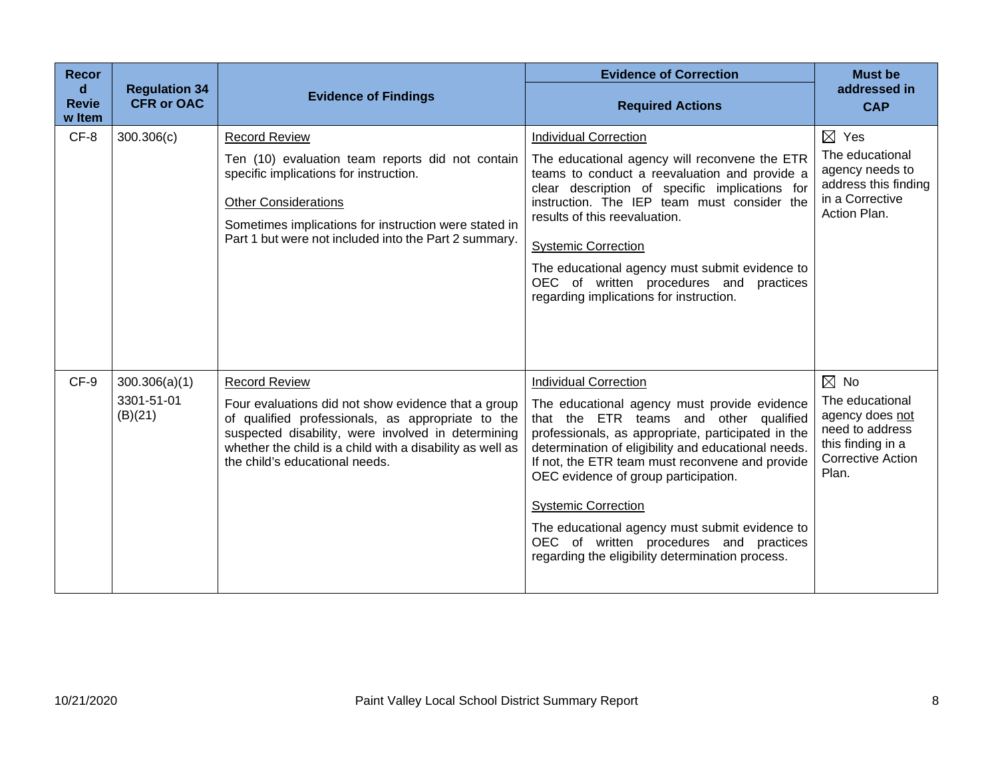| <b>Recor</b><br>d<br><b>Revie</b><br>w Item | <b>Regulation 34</b><br><b>CFR or OAC</b> | <b>Evidence of Findings</b>                                                                                                                                                                                                                                                           | <b>Evidence of Correction</b><br><b>Required Actions</b>                                                                                                                                                                                                                                                                                                                                                                                                                                                      | <b>Must be</b><br>addressed in<br><b>CAP</b>                                                                                      |
|---------------------------------------------|-------------------------------------------|---------------------------------------------------------------------------------------------------------------------------------------------------------------------------------------------------------------------------------------------------------------------------------------|---------------------------------------------------------------------------------------------------------------------------------------------------------------------------------------------------------------------------------------------------------------------------------------------------------------------------------------------------------------------------------------------------------------------------------------------------------------------------------------------------------------|-----------------------------------------------------------------------------------------------------------------------------------|
| CF-8                                        | 300.306(c)                                | <b>Record Review</b><br>Ten (10) evaluation team reports did not contain<br>specific implications for instruction.<br><b>Other Considerations</b><br>Sometimes implications for instruction were stated in<br>Part 1 but were not included into the Part 2 summary.                   | <b>Individual Correction</b><br>The educational agency will reconvene the ETR<br>teams to conduct a reevaluation and provide a<br>clear description of specific implications for<br>instruction. The IEP team must consider the<br>results of this reevaluation.<br><b>Systemic Correction</b><br>The educational agency must submit evidence to<br>OEC of written procedures and practices<br>regarding implications for instruction.                                                                        | $\boxtimes$ Yes<br>The educational<br>agency needs to<br>address this finding<br>in a Corrective<br>Action Plan.                  |
| CF-9                                        | 300.306(a)(1)<br>3301-51-01<br>(B)(21)    | <b>Record Review</b><br>Four evaluations did not show evidence that a group<br>of qualified professionals, as appropriate to the<br>suspected disability, were involved in determining<br>whether the child is a child with a disability as well as<br>the child's educational needs. | <b>Individual Correction</b><br>The educational agency must provide evidence<br>that the ETR teams and other qualified<br>professionals, as appropriate, participated in the<br>determination of eligibility and educational needs.<br>If not, the ETR team must reconvene and provide<br>OEC evidence of group participation.<br><b>Systemic Correction</b><br>The educational agency must submit evidence to<br>OEC of written procedures and practices<br>regarding the eligibility determination process. | $\boxtimes$ No<br>The educational<br>agency does not<br>need to address<br>this finding in a<br><b>Corrective Action</b><br>Plan. |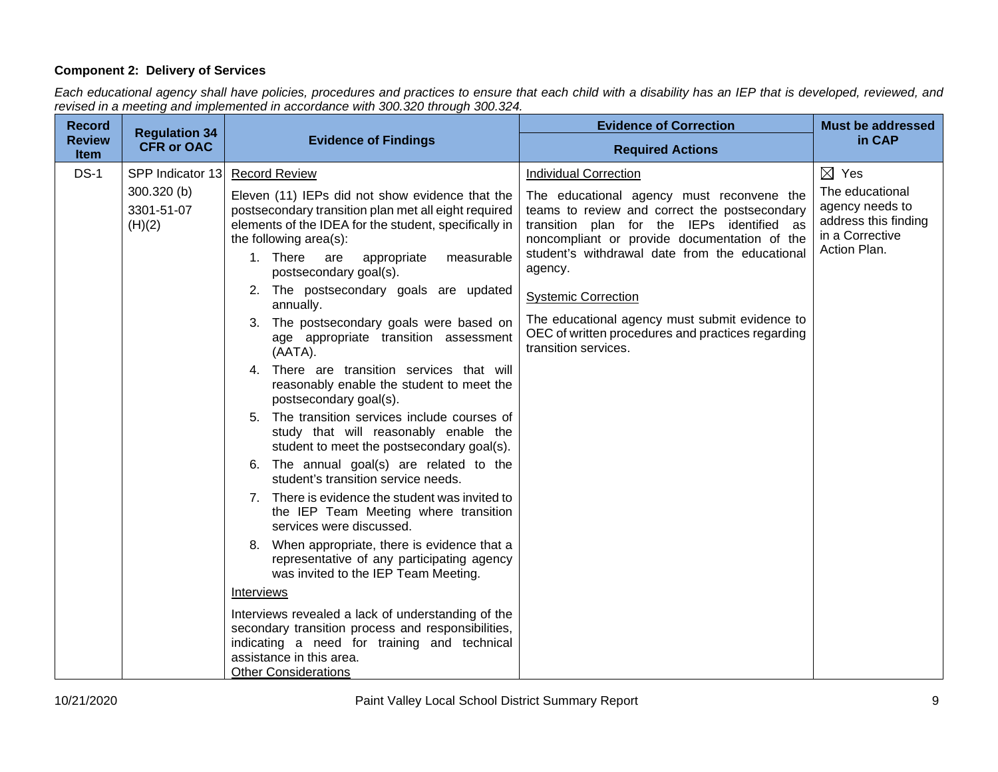# **Component 2: Delivery of Services**

*Each educational agency shall have policies, procedures and practices to ensure that each child with a disability has an IEP that is developed, reviewed, and revised in a meeting and implemented in accordance with 300.320 through 300.324.*

| <b>Record</b>                | <b>Regulation 34</b>                |                                                                                                                                                                                                                                            | <b>Evidence of Correction</b>                                                                                                                                                                                                                         | <b>Must be addressed</b>                                                                      |
|------------------------------|-------------------------------------|--------------------------------------------------------------------------------------------------------------------------------------------------------------------------------------------------------------------------------------------|-------------------------------------------------------------------------------------------------------------------------------------------------------------------------------------------------------------------------------------------------------|-----------------------------------------------------------------------------------------------|
| <b>Review</b><br><b>Item</b> | <b>CFR or OAC</b>                   | <b>Evidence of Findings</b>                                                                                                                                                                                                                | <b>Required Actions</b>                                                                                                                                                                                                                               | in CAP                                                                                        |
| $DS-1$                       | SPP Indicator 13                    | <b>Record Review</b>                                                                                                                                                                                                                       | <b>Individual Correction</b>                                                                                                                                                                                                                          | $\boxtimes$ Yes                                                                               |
|                              | 300.320 (b)<br>3301-51-07<br>(H)(2) | Eleven (11) IEPs did not show evidence that the<br>postsecondary transition plan met all eight required<br>elements of the IDEA for the student, specifically in<br>the following area(s):<br>1. There<br>measurable<br>are<br>appropriate | The educational agency must reconvene the<br>teams to review and correct the postsecondary<br>transition plan for the IEPs identified as<br>noncompliant or provide documentation of the<br>student's withdrawal date from the educational<br>agency. | The educational<br>agency needs to<br>address this finding<br>in a Corrective<br>Action Plan. |
|                              |                                     | postsecondary goal(s).<br>2. The postsecondary goals are updated                                                                                                                                                                           |                                                                                                                                                                                                                                                       |                                                                                               |
|                              |                                     | annually.                                                                                                                                                                                                                                  | <b>Systemic Correction</b>                                                                                                                                                                                                                            |                                                                                               |
|                              |                                     | 3. The postsecondary goals were based on<br>age appropriate transition assessment<br>(AATA).                                                                                                                                               | The educational agency must submit evidence to<br>OEC of written procedures and practices regarding<br>transition services.                                                                                                                           |                                                                                               |
|                              |                                     | 4. There are transition services that will<br>reasonably enable the student to meet the<br>postsecondary goal(s).                                                                                                                          |                                                                                                                                                                                                                                                       |                                                                                               |
|                              |                                     | 5. The transition services include courses of<br>study that will reasonably enable the<br>student to meet the postsecondary goal(s).                                                                                                       |                                                                                                                                                                                                                                                       |                                                                                               |
|                              |                                     | 6. The annual goal(s) are related to the<br>student's transition service needs.                                                                                                                                                            |                                                                                                                                                                                                                                                       |                                                                                               |
|                              |                                     | 7. There is evidence the student was invited to<br>the IEP Team Meeting where transition<br>services were discussed.                                                                                                                       |                                                                                                                                                                                                                                                       |                                                                                               |
|                              |                                     | 8. When appropriate, there is evidence that a<br>representative of any participating agency<br>was invited to the IEP Team Meeting.                                                                                                        |                                                                                                                                                                                                                                                       |                                                                                               |
|                              |                                     | Interviews                                                                                                                                                                                                                                 |                                                                                                                                                                                                                                                       |                                                                                               |
|                              |                                     | Interviews revealed a lack of understanding of the<br>secondary transition process and responsibilities,<br>indicating a need for training and technical<br>assistance in this area.<br><b>Other Considerations</b>                        |                                                                                                                                                                                                                                                       |                                                                                               |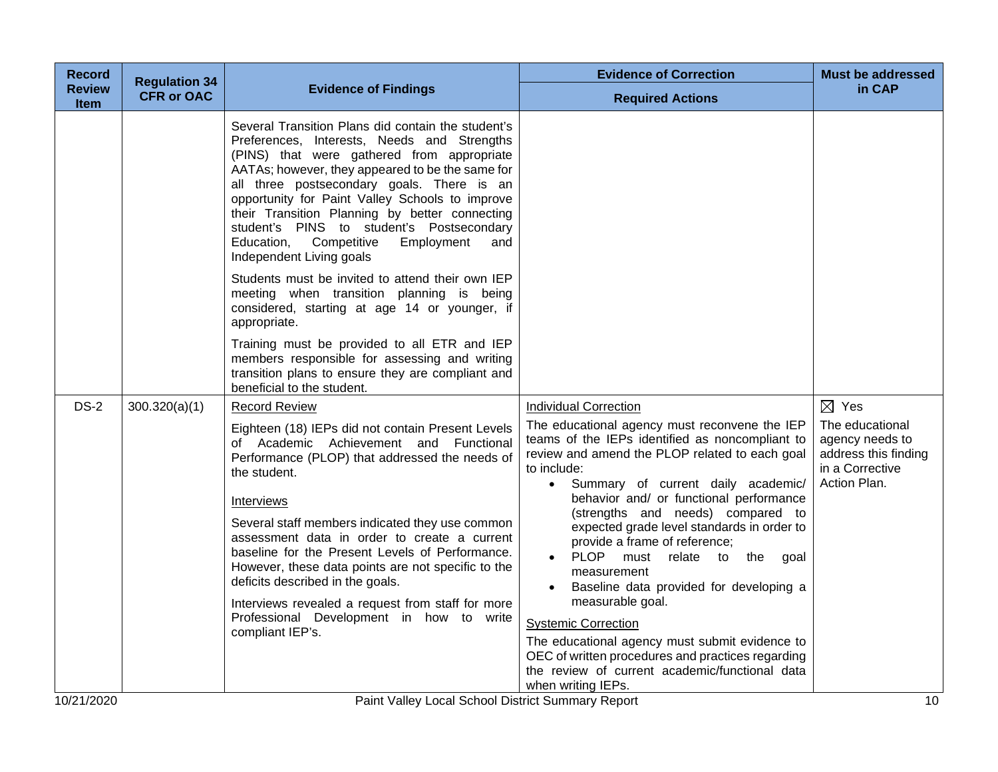| <b>Regulation 34</b> |                                                                                                                                                                                                                                                                                                                                                                                                                                                                                                                                                  | <b>Evidence of Correction</b>                                                                                                                                                                                                                                                                                                                                                                                                                                                                                                                                                                                                                                | <b>Must be addressed</b>                                                                            |
|----------------------|--------------------------------------------------------------------------------------------------------------------------------------------------------------------------------------------------------------------------------------------------------------------------------------------------------------------------------------------------------------------------------------------------------------------------------------------------------------------------------------------------------------------------------------------------|--------------------------------------------------------------------------------------------------------------------------------------------------------------------------------------------------------------------------------------------------------------------------------------------------------------------------------------------------------------------------------------------------------------------------------------------------------------------------------------------------------------------------------------------------------------------------------------------------------------------------------------------------------------|-----------------------------------------------------------------------------------------------------|
| <b>CFR or OAC</b>    |                                                                                                                                                                                                                                                                                                                                                                                                                                                                                                                                                  | <b>Required Actions</b>                                                                                                                                                                                                                                                                                                                                                                                                                                                                                                                                                                                                                                      | in CAP                                                                                              |
|                      | Several Transition Plans did contain the student's<br>Preferences, Interests, Needs and Strengths<br>(PINS) that were gathered from appropriate<br>AATAs; however, they appeared to be the same for<br>all three postsecondary goals. There is an<br>opportunity for Paint Valley Schools to improve<br>their Transition Planning by better connecting<br>student's PINS to student's Postsecondary<br>Competitive<br>Education,<br>Employment<br>and<br>Independent Living goals                                                                |                                                                                                                                                                                                                                                                                                                                                                                                                                                                                                                                                                                                                                                              |                                                                                                     |
|                      | Students must be invited to attend their own IEP<br>meeting when transition planning is being<br>considered, starting at age 14 or younger, if<br>appropriate.                                                                                                                                                                                                                                                                                                                                                                                   |                                                                                                                                                                                                                                                                                                                                                                                                                                                                                                                                                                                                                                                              |                                                                                                     |
|                      | Training must be provided to all ETR and IEP<br>members responsible for assessing and writing<br>transition plans to ensure they are compliant and<br>beneficial to the student.                                                                                                                                                                                                                                                                                                                                                                 |                                                                                                                                                                                                                                                                                                                                                                                                                                                                                                                                                                                                                                                              |                                                                                                     |
| 300.320(a)(1)        | <b>Record Review</b>                                                                                                                                                                                                                                                                                                                                                                                                                                                                                                                             | Individual Correction                                                                                                                                                                                                                                                                                                                                                                                                                                                                                                                                                                                                                                        | $\boxtimes$ Yes                                                                                     |
|                      | Eighteen (18) IEPs did not contain Present Levels<br>of Academic Achievement and Functional<br>Performance (PLOP) that addressed the needs of<br>the student.<br>Interviews<br>Several staff members indicated they use common<br>assessment data in order to create a current<br>baseline for the Present Levels of Performance.<br>However, these data points are not specific to the<br>deficits described in the goals.<br>Interviews revealed a request from staff for more<br>Professional Development in how to write<br>compliant IEP's. | teams of the IEPs identified as noncompliant to<br>review and amend the PLOP related to each goal<br>to include:<br>· Summary of current daily academic/<br>behavior and/ or functional performance<br>(strengths and needs) compared to<br>expected grade level standards in order to<br>provide a frame of reference;<br><b>PLOP</b><br>must relate to the goal<br>measurement<br>Baseline data provided for developing a<br>measurable goal.<br><b>Systemic Correction</b><br>The educational agency must submit evidence to<br>OEC of written procedures and practices regarding<br>the review of current academic/functional data<br>when writing IEPs. | The educational<br>agency needs to<br>address this finding<br>in a Corrective<br>Action Plan.<br>10 |
|                      |                                                                                                                                                                                                                                                                                                                                                                                                                                                                                                                                                  | <b>Evidence of Findings</b>                                                                                                                                                                                                                                                                                                                                                                                                                                                                                                                                                                                                                                  | The educational agency must reconvene the IEP<br>Paint Valley Local School District Summary Report  |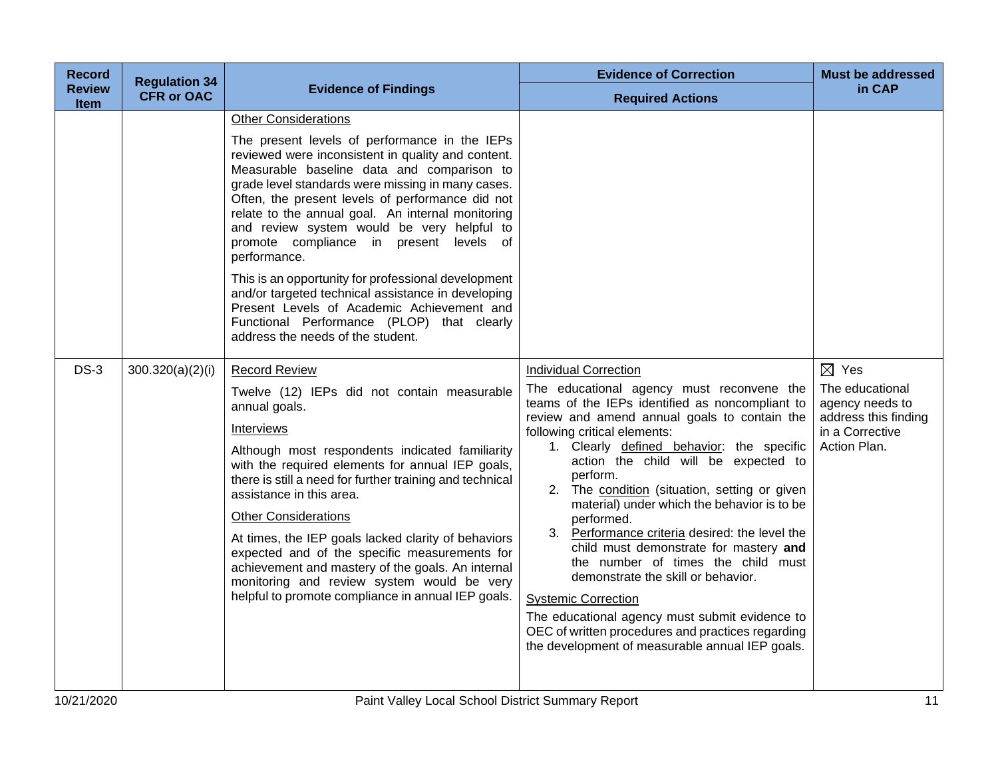| <b>Record</b>                | <b>Regulation 34</b> |                                                                                                                                                                                                                                                                                                                                                                                                                                                                                                                                                                                                                                                                                                       | <b>Evidence of Correction</b>                                                                                                                                                                                                                                                                                                                                                                                                                                                                                                                                                                                                                                                                                                                                                               | <b>Must be addressed</b>                                                                                         |
|------------------------------|----------------------|-------------------------------------------------------------------------------------------------------------------------------------------------------------------------------------------------------------------------------------------------------------------------------------------------------------------------------------------------------------------------------------------------------------------------------------------------------------------------------------------------------------------------------------------------------------------------------------------------------------------------------------------------------------------------------------------------------|---------------------------------------------------------------------------------------------------------------------------------------------------------------------------------------------------------------------------------------------------------------------------------------------------------------------------------------------------------------------------------------------------------------------------------------------------------------------------------------------------------------------------------------------------------------------------------------------------------------------------------------------------------------------------------------------------------------------------------------------------------------------------------------------|------------------------------------------------------------------------------------------------------------------|
| <b>Review</b><br><b>Item</b> | <b>CFR or OAC</b>    | <b>Evidence of Findings</b>                                                                                                                                                                                                                                                                                                                                                                                                                                                                                                                                                                                                                                                                           | <b>Required Actions</b>                                                                                                                                                                                                                                                                                                                                                                                                                                                                                                                                                                                                                                                                                                                                                                     | in CAP                                                                                                           |
|                              |                      | <b>Other Considerations</b><br>The present levels of performance in the IEPs<br>reviewed were inconsistent in quality and content.<br>Measurable baseline data and comparison to<br>grade level standards were missing in many cases.<br>Often, the present levels of performance did not<br>relate to the annual goal. An internal monitoring<br>and review system would be very helpful to<br>promote compliance in present levels of<br>performance.<br>This is an opportunity for professional development<br>and/or targeted technical assistance in developing<br>Present Levels of Academic Achievement and<br>Functional Performance (PLOP) that clearly<br>address the needs of the student. |                                                                                                                                                                                                                                                                                                                                                                                                                                                                                                                                                                                                                                                                                                                                                                                             |                                                                                                                  |
| $DS-3$                       | 300.320(a)(2)(i)     | <b>Record Review</b><br>Twelve (12) IEPs did not contain measurable<br>annual goals.<br>Interviews<br>Although most respondents indicated familiarity<br>with the required elements for annual IEP goals,<br>there is still a need for further training and technical<br>assistance in this area.<br><b>Other Considerations</b><br>At times, the IEP goals lacked clarity of behaviors<br>expected and of the specific measurements for<br>achievement and mastery of the goals. An internal<br>monitoring and review system would be very<br>helpful to promote compliance in annual IEP goals.                                                                                                     | <b>Individual Correction</b><br>The educational agency must reconvene the<br>teams of the IEPs identified as noncompliant to<br>review and amend annual goals to contain the<br>following critical elements:<br>1. Clearly defined behavior: the specific<br>action the child will be expected to<br>perform.<br>2. The condition (situation, setting or given<br>material) under which the behavior is to be<br>performed.<br>3. Performance criteria desired: the level the<br>child must demonstrate for mastery and<br>the number of times the child must<br>demonstrate the skill or behavior.<br><b>Systemic Correction</b><br>The educational agency must submit evidence to<br>OEC of written procedures and practices regarding<br>the development of measurable annual IEP goals. | $\boxtimes$ Yes<br>The educational<br>agency needs to<br>address this finding<br>in a Corrective<br>Action Plan. |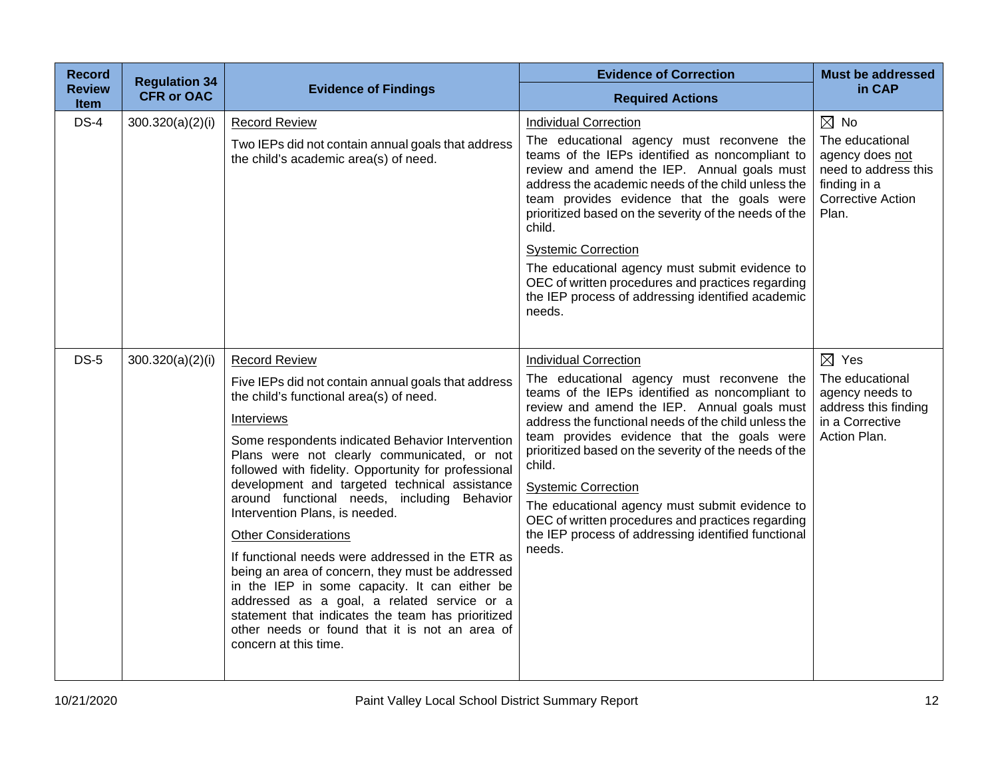| <b>Record</b>                | <b>Regulation 34</b> |                                                                                                                                                                                                                                                                                                                                                                                                                                                                                                                                                                                                                                                                                                                                                                                                          | <b>Evidence of Correction</b>                                                                                                                                                                                                                                                                                                                                                                                                                                                                                                                              | <b>Must be addressed</b>                                                                                                          |
|------------------------------|----------------------|----------------------------------------------------------------------------------------------------------------------------------------------------------------------------------------------------------------------------------------------------------------------------------------------------------------------------------------------------------------------------------------------------------------------------------------------------------------------------------------------------------------------------------------------------------------------------------------------------------------------------------------------------------------------------------------------------------------------------------------------------------------------------------------------------------|------------------------------------------------------------------------------------------------------------------------------------------------------------------------------------------------------------------------------------------------------------------------------------------------------------------------------------------------------------------------------------------------------------------------------------------------------------------------------------------------------------------------------------------------------------|-----------------------------------------------------------------------------------------------------------------------------------|
| <b>Review</b><br><b>Item</b> | <b>CFR or OAC</b>    | <b>Evidence of Findings</b>                                                                                                                                                                                                                                                                                                                                                                                                                                                                                                                                                                                                                                                                                                                                                                              | <b>Required Actions</b>                                                                                                                                                                                                                                                                                                                                                                                                                                                                                                                                    | in CAP                                                                                                                            |
| $DS-4$                       | 300.320(a)(2)(i)     | <b>Record Review</b><br>Two IEPs did not contain annual goals that address<br>the child's academic area(s) of need.                                                                                                                                                                                                                                                                                                                                                                                                                                                                                                                                                                                                                                                                                      | <b>Individual Correction</b><br>The educational agency must reconvene the<br>teams of the IEPs identified as noncompliant to<br>review and amend the IEP. Annual goals must<br>address the academic needs of the child unless the<br>team provides evidence that the goals were<br>prioritized based on the severity of the needs of the<br>child.<br><b>Systemic Correction</b><br>The educational agency must submit evidence to<br>OEC of written procedures and practices regarding<br>the IEP process of addressing identified academic<br>needs.     | $\boxtimes$ No<br>The educational<br>agency does not<br>need to address this<br>finding in a<br><b>Corrective Action</b><br>Plan. |
| <b>DS-5</b>                  | 300.320(a)(2)(i)     | <b>Record Review</b><br>Five IEPs did not contain annual goals that address<br>the child's functional area(s) of need.<br>Interviews<br>Some respondents indicated Behavior Intervention<br>Plans were not clearly communicated, or not<br>followed with fidelity. Opportunity for professional<br>development and targeted technical assistance<br>around functional needs, including Behavior<br>Intervention Plans, is needed.<br><b>Other Considerations</b><br>If functional needs were addressed in the ETR as<br>being an area of concern, they must be addressed<br>in the IEP in some capacity. It can either be<br>addressed as a goal, a related service or a<br>statement that indicates the team has prioritized<br>other needs or found that it is not an area of<br>concern at this time. | <b>Individual Correction</b><br>The educational agency must reconvene the<br>teams of the IEPs identified as noncompliant to<br>review and amend the IEP. Annual goals must<br>address the functional needs of the child unless the<br>team provides evidence that the goals were<br>prioritized based on the severity of the needs of the<br>child.<br><b>Systemic Correction</b><br>The educational agency must submit evidence to<br>OEC of written procedures and practices regarding<br>the IEP process of addressing identified functional<br>needs. | $\boxtimes$ Yes<br>The educational<br>agency needs to<br>address this finding<br>in a Corrective<br>Action Plan.                  |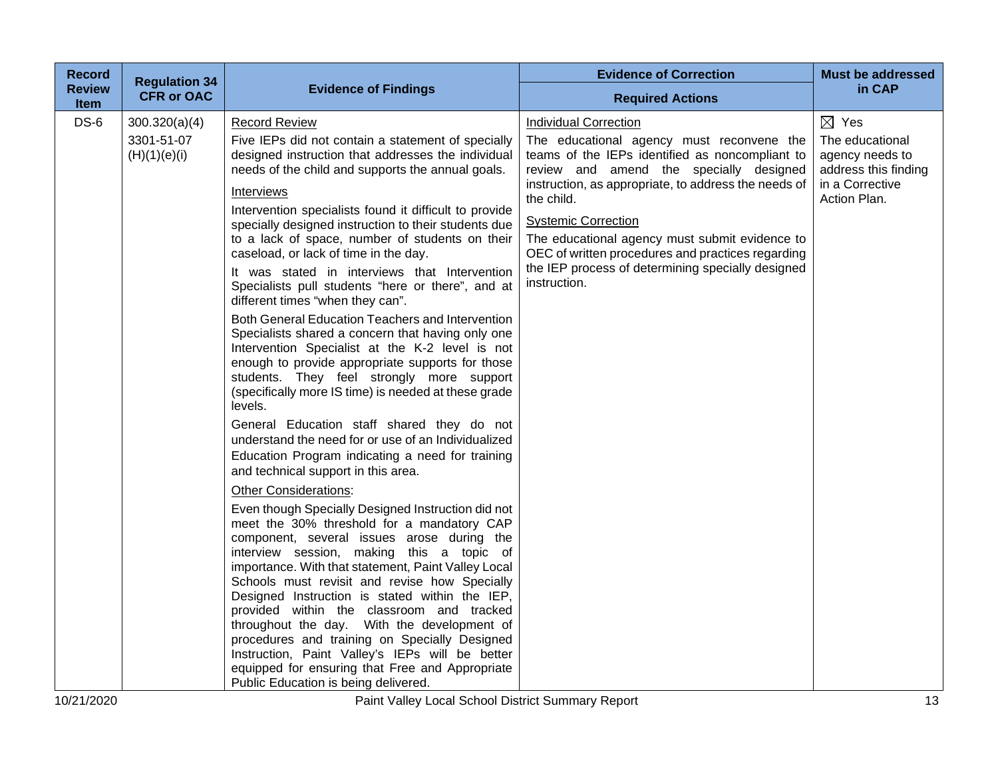| <b>Record</b>         | <b>Regulation 34</b>                        |                                                                                                                                                                                                                                                                                                                                                                                                                                                                                                                                                                                                                                                                                                                                                                                                                                                                                                                                                                                                                                                                                                                                                                                                                                                                                                                                                                                                                                                                                                                                                                                                                                                                                                                                         | <b>Evidence of Correction</b>                                                                                                                                                                                                                                                                                                                                                                                                                           | <b>Must be addressed</b>                                                                                         |
|-----------------------|---------------------------------------------|-----------------------------------------------------------------------------------------------------------------------------------------------------------------------------------------------------------------------------------------------------------------------------------------------------------------------------------------------------------------------------------------------------------------------------------------------------------------------------------------------------------------------------------------------------------------------------------------------------------------------------------------------------------------------------------------------------------------------------------------------------------------------------------------------------------------------------------------------------------------------------------------------------------------------------------------------------------------------------------------------------------------------------------------------------------------------------------------------------------------------------------------------------------------------------------------------------------------------------------------------------------------------------------------------------------------------------------------------------------------------------------------------------------------------------------------------------------------------------------------------------------------------------------------------------------------------------------------------------------------------------------------------------------------------------------------------------------------------------------------|---------------------------------------------------------------------------------------------------------------------------------------------------------------------------------------------------------------------------------------------------------------------------------------------------------------------------------------------------------------------------------------------------------------------------------------------------------|------------------------------------------------------------------------------------------------------------------|
| Review<br><b>Item</b> | <b>CFR or OAC</b>                           | <b>Evidence of Findings</b>                                                                                                                                                                                                                                                                                                                                                                                                                                                                                                                                                                                                                                                                                                                                                                                                                                                                                                                                                                                                                                                                                                                                                                                                                                                                                                                                                                                                                                                                                                                                                                                                                                                                                                             | <b>Required Actions</b>                                                                                                                                                                                                                                                                                                                                                                                                                                 | in CAP                                                                                                           |
| $DS-6$                | 300.320(a)(4)<br>3301-51-07<br>(H)(1)(e)(i) | <b>Record Review</b><br>Five IEPs did not contain a statement of specially<br>designed instruction that addresses the individual<br>needs of the child and supports the annual goals.<br>Interviews<br>Intervention specialists found it difficult to provide<br>specially designed instruction to their students due<br>to a lack of space, number of students on their<br>caseload, or lack of time in the day.<br>It was stated in interviews that Intervention<br>Specialists pull students "here or there", and at<br>different times "when they can".<br>Both General Education Teachers and Intervention<br>Specialists shared a concern that having only one<br>Intervention Specialist at the K-2 level is not<br>enough to provide appropriate supports for those<br>students. They feel strongly more support<br>(specifically more IS time) is needed at these grade<br>levels.<br>General Education staff shared they do not<br>understand the need for or use of an Individualized<br>Education Program indicating a need for training<br>and technical support in this area.<br><b>Other Considerations:</b><br>Even though Specially Designed Instruction did not<br>meet the 30% threshold for a mandatory CAP<br>component, several issues arose during the<br>interview session, making this a topic of<br>importance. With that statement, Paint Valley Local<br>Schools must revisit and revise how Specially<br>Designed Instruction is stated within the IEP,<br>provided within the classroom and tracked<br>throughout the day. With the development of<br>procedures and training on Specially Designed<br>Instruction, Paint Valley's IEPs will be better<br>equipped for ensuring that Free and Appropriate | <b>Individual Correction</b><br>The educational agency must reconvene the<br>teams of the IEPs identified as noncompliant to<br>review and amend the specially designed<br>instruction, as appropriate, to address the needs of<br>the child.<br><b>Systemic Correction</b><br>The educational agency must submit evidence to<br>OEC of written procedures and practices regarding<br>the IEP process of determining specially designed<br>instruction. | $\boxtimes$ Yes<br>The educational<br>agency needs to<br>address this finding<br>in a Corrective<br>Action Plan. |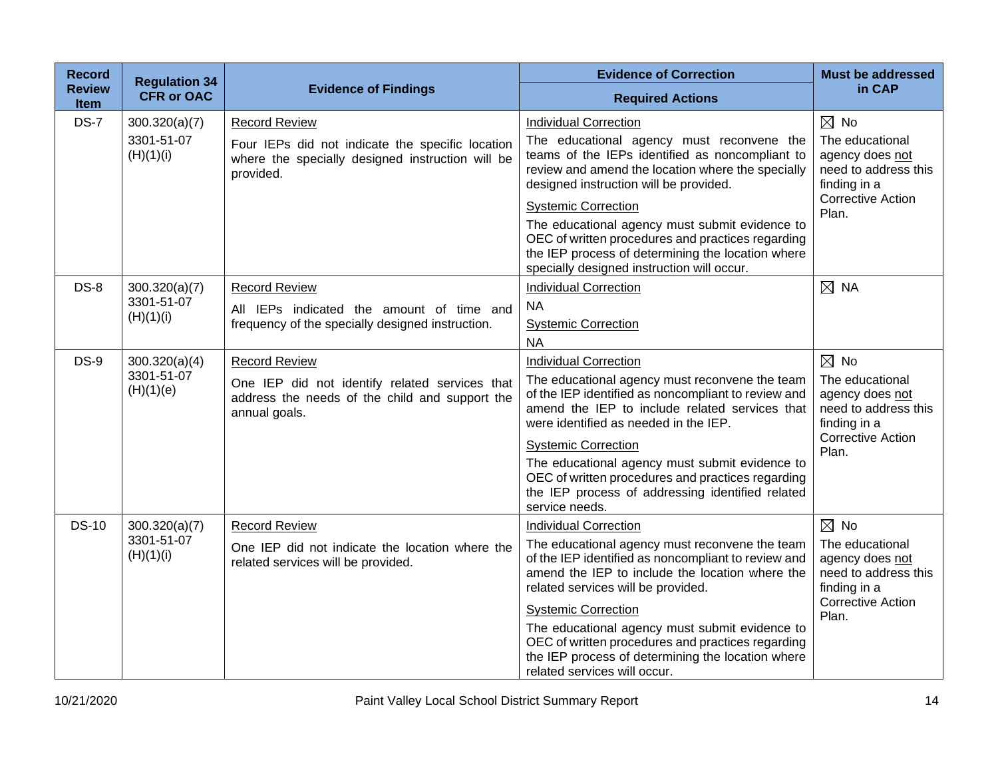| <b>Record</b><br><b>Review</b> | <b>Regulation 34</b>        | <b>Evidence of Findings</b>                                                                                       | <b>Evidence of Correction</b>                                                                                                                                                                          | <b>Must be addressed</b><br>in CAP                                                                     |
|--------------------------------|-----------------------------|-------------------------------------------------------------------------------------------------------------------|--------------------------------------------------------------------------------------------------------------------------------------------------------------------------------------------------------|--------------------------------------------------------------------------------------------------------|
| Item                           | <b>CFR or OAC</b>           |                                                                                                                   | <b>Required Actions</b>                                                                                                                                                                                |                                                                                                        |
| <b>DS-7</b>                    | 300.320(a)(7)               | <b>Record Review</b>                                                                                              | <b>Individual Correction</b>                                                                                                                                                                           | $\boxtimes$ No                                                                                         |
|                                | 3301-51-07<br>(H)(1)(i)     | Four IEPs did not indicate the specific location<br>where the specially designed instruction will be<br>provided. | The educational agency must reconvene the<br>teams of the IEPs identified as noncompliant to<br>review and amend the location where the specially<br>designed instruction will be provided.            | The educational<br>agency does not<br>need to address this<br>finding in a                             |
|                                |                             |                                                                                                                   | <b>Systemic Correction</b>                                                                                                                                                                             | <b>Corrective Action</b>                                                                               |
|                                |                             |                                                                                                                   | The educational agency must submit evidence to<br>OEC of written procedures and practices regarding<br>the IEP process of determining the location where<br>specially designed instruction will occur. | Plan.                                                                                                  |
| $DS-8$                         | 300.320(a)(7)               | <b>Record Review</b>                                                                                              | <b>Individual Correction</b>                                                                                                                                                                           | $\boxtimes$ NA                                                                                         |
|                                | 3301-51-07<br>(H)(1)(i)     | All IEPs indicated the amount of time and                                                                         | <b>NA</b>                                                                                                                                                                                              |                                                                                                        |
|                                |                             | frequency of the specially designed instruction.                                                                  | <b>Systemic Correction</b>                                                                                                                                                                             |                                                                                                        |
|                                |                             |                                                                                                                   | <b>NA</b>                                                                                                                                                                                              |                                                                                                        |
| <b>DS-9</b>                    | 300.320(a)(4)<br>3301-51-07 | <b>Record Review</b>                                                                                              | <b>Individual Correction</b>                                                                                                                                                                           | $\boxtimes$ No                                                                                         |
|                                | (H)(1)(e)                   | One IEP did not identify related services that<br>address the needs of the child and support the<br>annual goals. | The educational agency must reconvene the team<br>of the IEP identified as noncompliant to review and<br>amend the IEP to include related services that<br>were identified as needed in the IEP.       | The educational<br>agency does not<br>need to address this<br>finding in a                             |
|                                |                             |                                                                                                                   | <b>Systemic Correction</b>                                                                                                                                                                             | <b>Corrective Action</b><br>Plan.                                                                      |
|                                |                             |                                                                                                                   | The educational agency must submit evidence to<br>OEC of written procedures and practices regarding<br>the IEP process of addressing identified related<br>service needs.                              |                                                                                                        |
| <b>DS-10</b>                   | 300.320(a)(7)               | <b>Record Review</b>                                                                                              | <b>Individual Correction</b>                                                                                                                                                                           | $\boxtimes$ No                                                                                         |
|                                | 3301-51-07<br>(H)(1)(i)     | One IEP did not indicate the location where the<br>related services will be provided.                             | The educational agency must reconvene the team<br>of the IEP identified as noncompliant to review and<br>amend the IEP to include the location where the<br>related services will be provided.         | The educational<br>agency does not<br>need to address this<br>finding in a<br><b>Corrective Action</b> |
|                                |                             |                                                                                                                   | <b>Systemic Correction</b>                                                                                                                                                                             | Plan.                                                                                                  |
|                                |                             |                                                                                                                   | The educational agency must submit evidence to<br>OEC of written procedures and practices regarding<br>the IEP process of determining the location where<br>related services will occur.               |                                                                                                        |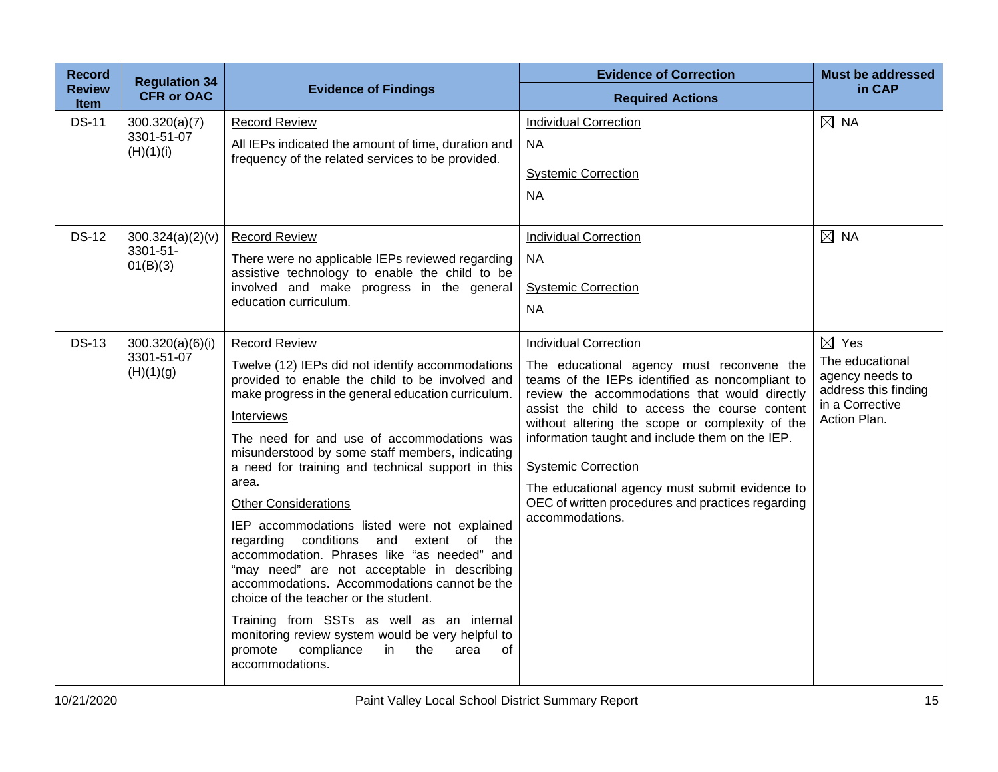| <b>Record</b>                | <b>Regulation 34</b>                        |                                                                                                                                                                                                                                                                                                                                                                                                                                                                                                                                                                                                                                                                                                                                                                                                                                                         | <b>Evidence of Correction</b>                                                                                                                                                                                                                                                                                                                                                                                                                                                                | <b>Must be addressed</b>                                                                                         |
|------------------------------|---------------------------------------------|---------------------------------------------------------------------------------------------------------------------------------------------------------------------------------------------------------------------------------------------------------------------------------------------------------------------------------------------------------------------------------------------------------------------------------------------------------------------------------------------------------------------------------------------------------------------------------------------------------------------------------------------------------------------------------------------------------------------------------------------------------------------------------------------------------------------------------------------------------|----------------------------------------------------------------------------------------------------------------------------------------------------------------------------------------------------------------------------------------------------------------------------------------------------------------------------------------------------------------------------------------------------------------------------------------------------------------------------------------------|------------------------------------------------------------------------------------------------------------------|
| <b>Review</b><br><b>Item</b> | <b>CFR or OAC</b>                           | <b>Evidence of Findings</b>                                                                                                                                                                                                                                                                                                                                                                                                                                                                                                                                                                                                                                                                                                                                                                                                                             | <b>Required Actions</b>                                                                                                                                                                                                                                                                                                                                                                                                                                                                      | in CAP                                                                                                           |
| <b>DS-11</b>                 | 300.320(a)(7)<br>3301-51-07<br>(H)(1)(i)    | <b>Record Review</b><br>All IEPs indicated the amount of time, duration and<br>frequency of the related services to be provided.                                                                                                                                                                                                                                                                                                                                                                                                                                                                                                                                                                                                                                                                                                                        | <b>Individual Correction</b><br><b>NA</b><br><b>Systemic Correction</b><br><b>NA</b>                                                                                                                                                                                                                                                                                                                                                                                                         | $\boxtimes$ NA                                                                                                   |
| <b>DS-12</b>                 | 300.324(a)(2)(v)<br>3301-51-<br>01(B)(3)    | <b>Record Review</b><br>There were no applicable IEPs reviewed regarding<br>assistive technology to enable the child to be<br>involved and make progress in the general<br>education curriculum.                                                                                                                                                                                                                                                                                                                                                                                                                                                                                                                                                                                                                                                        | <b>Individual Correction</b><br><b>NA</b><br><b>Systemic Correction</b><br><b>NA</b>                                                                                                                                                                                                                                                                                                                                                                                                         | $\boxtimes$ NA                                                                                                   |
| <b>DS-13</b>                 | 300.320(a)(6)(i)<br>3301-51-07<br>(H)(1)(g) | <b>Record Review</b><br>Twelve (12) IEPs did not identify accommodations<br>provided to enable the child to be involved and<br>make progress in the general education curriculum.<br>Interviews<br>The need for and use of accommodations was<br>misunderstood by some staff members, indicating<br>a need for training and technical support in this<br>area.<br><b>Other Considerations</b><br>IEP accommodations listed were not explained<br>regarding conditions and extent of the<br>accommodation. Phrases like "as needed" and<br>"may need" are not acceptable in describing<br>accommodations. Accommodations cannot be the<br>choice of the teacher or the student.<br>Training from SSTs as well as an internal<br>monitoring review system would be very helpful to<br>promote<br>compliance<br>in<br>the<br>0f<br>area<br>accommodations. | <b>Individual Correction</b><br>The educational agency must reconvene the<br>teams of the IEPs identified as noncompliant to<br>review the accommodations that would directly<br>assist the child to access the course content<br>without altering the scope or complexity of the<br>information taught and include them on the IEP.<br><b>Systemic Correction</b><br>The educational agency must submit evidence to<br>OEC of written procedures and practices regarding<br>accommodations. | $\boxtimes$ Yes<br>The educational<br>agency needs to<br>address this finding<br>in a Corrective<br>Action Plan. |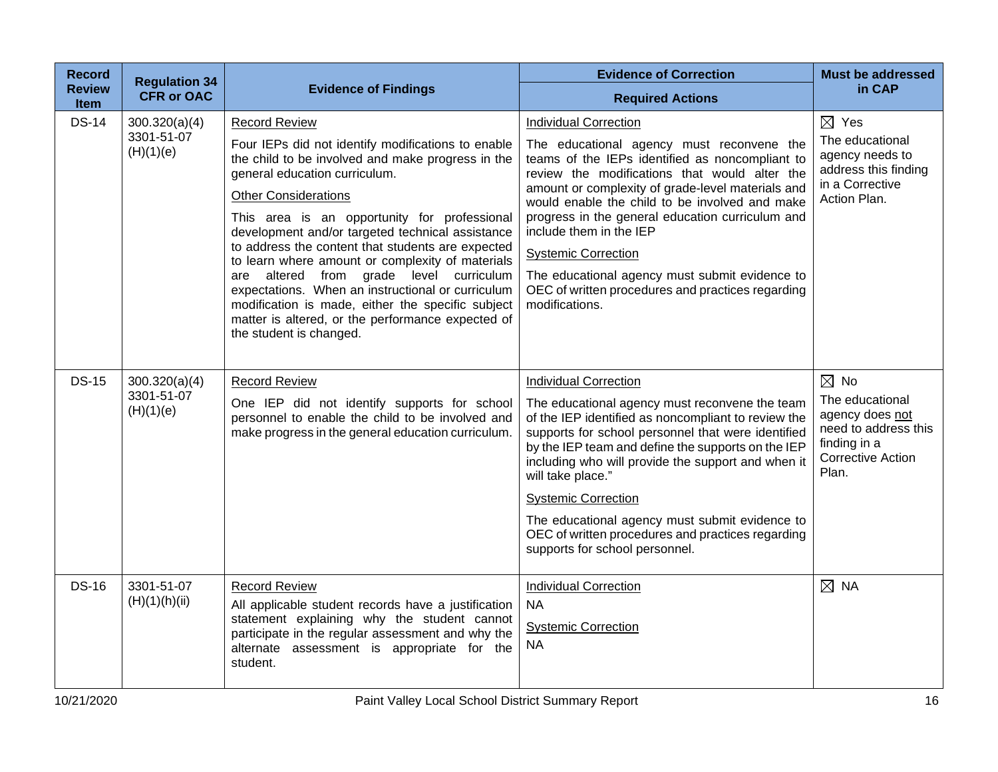| <b>Record</b>                | <b>Regulation 34</b>                     |                                                                                                                                                                                                                                                                                                                                                                                                                                                                                                                                                                                                                                                      | <b>Evidence of Correction</b>                                                                                                                                                                                                                                                                                                                                                                                                                                                                                              | <b>Must be addressed</b>                                                                                                          |
|------------------------------|------------------------------------------|------------------------------------------------------------------------------------------------------------------------------------------------------------------------------------------------------------------------------------------------------------------------------------------------------------------------------------------------------------------------------------------------------------------------------------------------------------------------------------------------------------------------------------------------------------------------------------------------------------------------------------------------------|----------------------------------------------------------------------------------------------------------------------------------------------------------------------------------------------------------------------------------------------------------------------------------------------------------------------------------------------------------------------------------------------------------------------------------------------------------------------------------------------------------------------------|-----------------------------------------------------------------------------------------------------------------------------------|
| <b>Review</b><br><b>Item</b> | <b>CFR or OAC</b>                        | <b>Evidence of Findings</b>                                                                                                                                                                                                                                                                                                                                                                                                                                                                                                                                                                                                                          | <b>Required Actions</b>                                                                                                                                                                                                                                                                                                                                                                                                                                                                                                    | in CAP                                                                                                                            |
| <b>DS-14</b>                 | 300.320(a)(4)<br>3301-51-07<br>(H)(1)(e) | <b>Record Review</b><br>Four IEPs did not identify modifications to enable<br>the child to be involved and make progress in the<br>general education curriculum.<br><b>Other Considerations</b><br>This area is an opportunity for professional<br>development and/or targeted technical assistance<br>to address the content that students are expected<br>to learn where amount or complexity of materials<br>altered from grade level curriculum<br>are<br>expectations. When an instructional or curriculum<br>modification is made, either the specific subject<br>matter is altered, or the performance expected of<br>the student is changed. | <b>Individual Correction</b><br>The educational agency must reconvene the<br>teams of the IEPs identified as noncompliant to<br>review the modifications that would alter the<br>amount or complexity of grade-level materials and<br>would enable the child to be involved and make<br>progress in the general education curriculum and<br>include them in the IEP<br><b>Systemic Correction</b><br>The educational agency must submit evidence to<br>OEC of written procedures and practices regarding<br>modifications. | $\boxtimes$ Yes<br>The educational<br>agency needs to<br>address this finding<br>in a Corrective<br>Action Plan.                  |
| <b>DS-15</b>                 | 300.320(a)(4)<br>3301-51-07<br>(H)(1)(e) | <b>Record Review</b><br>One IEP did not identify supports for school<br>personnel to enable the child to be involved and<br>make progress in the general education curriculum.                                                                                                                                                                                                                                                                                                                                                                                                                                                                       | <b>Individual Correction</b><br>The educational agency must reconvene the team<br>of the IEP identified as noncompliant to review the<br>supports for school personnel that were identified<br>by the IEP team and define the supports on the IEP<br>including who will provide the support and when it<br>will take place."<br><b>Systemic Correction</b><br>The educational agency must submit evidence to<br>OEC of written procedures and practices regarding<br>supports for school personnel.                        | $\boxtimes$ No<br>The educational<br>agency does not<br>need to address this<br>finding in a<br><b>Corrective Action</b><br>Plan. |
| <b>DS-16</b>                 | 3301-51-07<br>(H)(1)(h)(ii)              | <b>Record Review</b><br>All applicable student records have a justification<br>statement explaining why the student cannot<br>participate in the regular assessment and why the<br>alternate assessment is appropriate for the<br>student.                                                                                                                                                                                                                                                                                                                                                                                                           | <b>Individual Correction</b><br><b>NA</b><br><b>Systemic Correction</b><br><b>NA</b>                                                                                                                                                                                                                                                                                                                                                                                                                                       | $\boxtimes$ NA                                                                                                                    |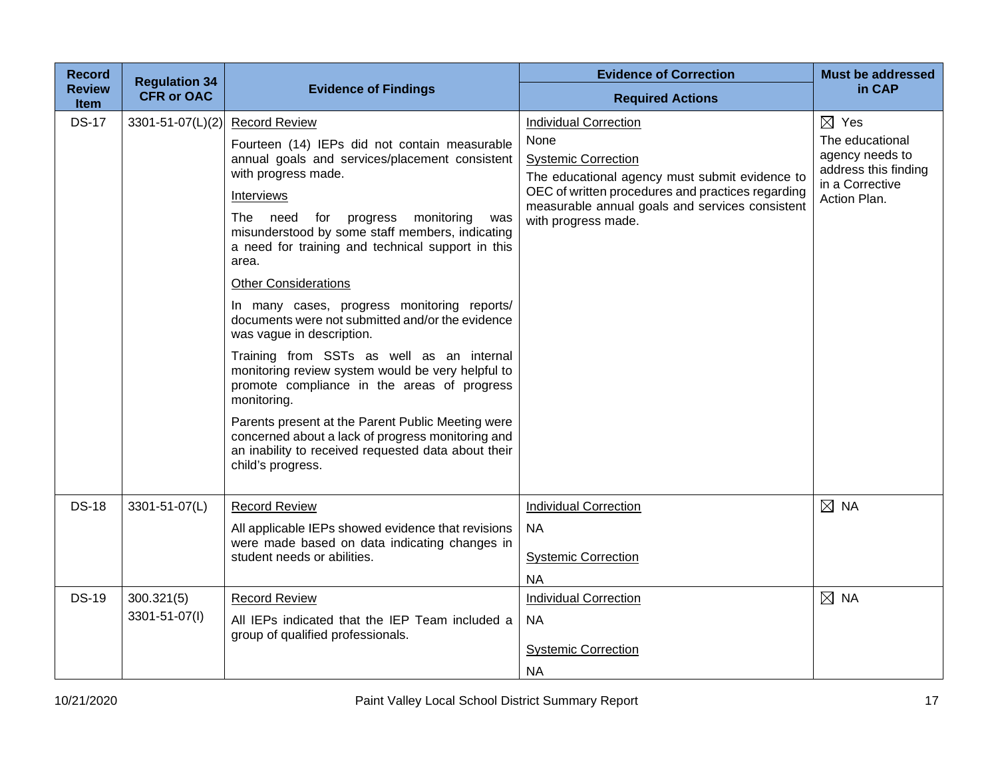| <b>Record</b>                | <b>Regulation 34</b>        |                                                                                                                                                                                                                                                                                                                                                                                                                                                                                                                                                                                                                                                                                                                                                                                                                                                           | <b>Evidence of Correction</b>                                                                                                                                                                                                                       | <b>Must be addressed</b>                                                                                         |
|------------------------------|-----------------------------|-----------------------------------------------------------------------------------------------------------------------------------------------------------------------------------------------------------------------------------------------------------------------------------------------------------------------------------------------------------------------------------------------------------------------------------------------------------------------------------------------------------------------------------------------------------------------------------------------------------------------------------------------------------------------------------------------------------------------------------------------------------------------------------------------------------------------------------------------------------|-----------------------------------------------------------------------------------------------------------------------------------------------------------------------------------------------------------------------------------------------------|------------------------------------------------------------------------------------------------------------------|
| <b>Review</b><br><b>Item</b> | <b>CFR or OAC</b>           | <b>Evidence of Findings</b>                                                                                                                                                                                                                                                                                                                                                                                                                                                                                                                                                                                                                                                                                                                                                                                                                               | <b>Required Actions</b>                                                                                                                                                                                                                             | in CAP                                                                                                           |
| <b>DS-17</b>                 | $3301 - 51 - 07(L)(2)$      | <b>Record Review</b><br>Fourteen (14) IEPs did not contain measurable<br>annual goals and services/placement consistent<br>with progress made.<br>Interviews<br>The<br>need<br>for<br>progress<br>monitoring<br>was<br>misunderstood by some staff members, indicating<br>a need for training and technical support in this<br>area.<br><b>Other Considerations</b><br>In many cases, progress monitoring reports/<br>documents were not submitted and/or the evidence<br>was vague in description.<br>Training from SSTs as well as an internal<br>monitoring review system would be very helpful to<br>promote compliance in the areas of progress<br>monitoring.<br>Parents present at the Parent Public Meeting were<br>concerned about a lack of progress monitoring and<br>an inability to received requested data about their<br>child's progress. | <b>Individual Correction</b><br>None<br><b>Systemic Correction</b><br>The educational agency must submit evidence to<br>OEC of written procedures and practices regarding<br>measurable annual goals and services consistent<br>with progress made. | $\boxtimes$ Yes<br>The educational<br>agency needs to<br>address this finding<br>in a Corrective<br>Action Plan. |
| <b>DS-18</b>                 | 3301-51-07(L)               | <b>Record Review</b><br>All applicable IEPs showed evidence that revisions<br>were made based on data indicating changes in<br>student needs or abilities.                                                                                                                                                                                                                                                                                                                                                                                                                                                                                                                                                                                                                                                                                                | <b>Individual Correction</b><br><b>NA</b><br><b>Systemic Correction</b><br><b>NA</b>                                                                                                                                                                | $\boxtimes$ NA                                                                                                   |
| <b>DS-19</b>                 | 300.321(5)<br>3301-51-07(I) | <b>Record Review</b><br>All IEPs indicated that the IEP Team included a<br>group of qualified professionals.                                                                                                                                                                                                                                                                                                                                                                                                                                                                                                                                                                                                                                                                                                                                              | <b>Individual Correction</b><br><b>NA</b><br><b>Systemic Correction</b><br><b>NA</b>                                                                                                                                                                | $\boxtimes$ NA                                                                                                   |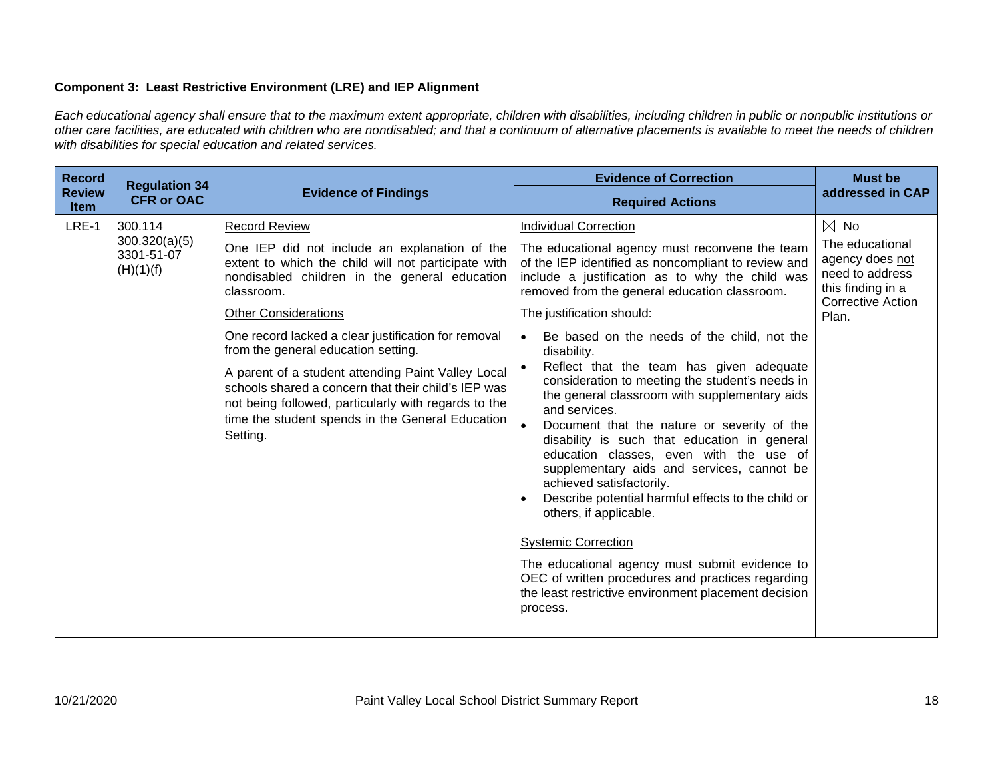# **Component 3: Least Restrictive Environment (LRE) and IEP Alignment**

*Each educational agency shall ensure that to the maximum extent appropriate, children with disabilities, including children in public or nonpublic institutions or other care facilities, are educated with children who are nondisabled; and that a continuum of alternative placements is available to meet the needs of children with disabilities for special education and related services.*

| <b>Record</b>                | <b>Regulation 34</b><br><b>CFR or OAC</b>           | <b>Evidence of Findings</b>                                                                                                                                                                                                       | <b>Evidence of Correction</b>                                                                                                                                                                                                                                                                                                                                                                                                                                                                                                                                                                                                                                              | <b>Must be</b><br>addressed in CAP                                                                              |
|------------------------------|-----------------------------------------------------|-----------------------------------------------------------------------------------------------------------------------------------------------------------------------------------------------------------------------------------|----------------------------------------------------------------------------------------------------------------------------------------------------------------------------------------------------------------------------------------------------------------------------------------------------------------------------------------------------------------------------------------------------------------------------------------------------------------------------------------------------------------------------------------------------------------------------------------------------------------------------------------------------------------------------|-----------------------------------------------------------------------------------------------------------------|
| <b>Review</b><br><b>Item</b> |                                                     |                                                                                                                                                                                                                                   | <b>Required Actions</b>                                                                                                                                                                                                                                                                                                                                                                                                                                                                                                                                                                                                                                                    |                                                                                                                 |
| LRE-1                        | 300.114<br>300.320(a)(5)<br>3301-51-07<br>(H)(1)(f) | <b>Record Review</b>                                                                                                                                                                                                              | <b>Individual Correction</b>                                                                                                                                                                                                                                                                                                                                                                                                                                                                                                                                                                                                                                               | $\boxtimes$ No                                                                                                  |
|                              |                                                     | One IEP did not include an explanation of the<br>extent to which the child will not participate with<br>nondisabled children in the general education<br>classroom.                                                               | The educational agency must reconvene the team<br>of the IEP identified as noncompliant to review and<br>include a justification as to why the child was<br>removed from the general education classroom.                                                                                                                                                                                                                                                                                                                                                                                                                                                                  | The educational<br>agency does not<br>need to address<br>this finding in a<br><b>Corrective Action</b><br>Plan. |
|                              |                                                     | <b>Other Considerations</b>                                                                                                                                                                                                       | The justification should:                                                                                                                                                                                                                                                                                                                                                                                                                                                                                                                                                                                                                                                  |                                                                                                                 |
|                              |                                                     | One record lacked a clear justification for removal<br>from the general education setting.                                                                                                                                        | Be based on the needs of the child, not the<br>disability.                                                                                                                                                                                                                                                                                                                                                                                                                                                                                                                                                                                                                 |                                                                                                                 |
|                              |                                                     | A parent of a student attending Paint Valley Local<br>schools shared a concern that their child's IEP was<br>not being followed, particularly with regards to the<br>time the student spends in the General Education<br>Setting. | Reflect that the team has given adequate<br>consideration to meeting the student's needs in<br>the general classroom with supplementary aids<br>and services.<br>Document that the nature or severity of the<br>disability is such that education in general<br>education classes, even with the use of<br>supplementary aids and services, cannot be<br>achieved satisfactorily.<br>Describe potential harmful effects to the child or<br>others, if applicable.<br><b>Systemic Correction</b><br>The educational agency must submit evidence to<br>OEC of written procedures and practices regarding<br>the least restrictive environment placement decision<br>process. |                                                                                                                 |